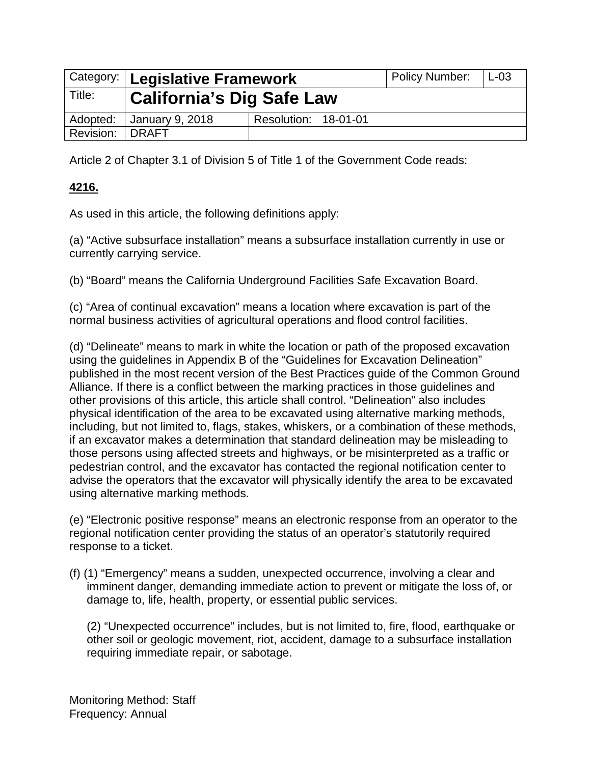|                   | Category:   Legislative Framework |                      | Policy Number: | $L-03$ |  |
|-------------------|-----------------------------------|----------------------|----------------|--------|--|
| Title:            | <b>California's Dig Safe Law</b>  |                      |                |        |  |
|                   | Adopted: January 9, 2018          | Resolution: 18-01-01 |                |        |  |
| Revision:   DRAFT |                                   |                      |                |        |  |

Article 2 of Chapter 3.1 of Division 5 of Title 1 of the Government Code reads:

### **4216.**

As used in this article, the following definitions apply:

(a) "Active subsurface installation" means a subsurface installation currently in use or currently carrying service.

(b) "Board" means the California Underground Facilities Safe Excavation Board.

 normal business activities of agricultural operations and flood control facilities. (c) "Area of continual excavation" means a location where excavation is part of the

 those persons using affected streets and highways, or be misinterpreted as a traffic or (d) "Delineate" means to mark in white the location or path of the proposed excavation using the guidelines in Appendix B of the "Guidelines for Excavation Delineation" published in the most recent version of the Best Practices guide of the Common Ground Alliance. If there is a conflict between the marking practices in those guidelines and other provisions of this article, this article shall control. "Delineation" also includes physical identification of the area to be excavated using alternative marking methods, including, but not limited to, flags, stakes, whiskers, or a combination of these methods, if an excavator makes a determination that standard delineation may be misleading to pedestrian control, and the excavator has contacted the regional notification center to advise the operators that the excavator will physically identify the area to be excavated using alternative marking methods.

(e) "Electronic positive response" means an electronic response from an operator to the regional notification center providing the status of an operator's statutorily required response to a ticket.

 (f) (1) "Emergency" means a sudden, unexpected occurrence, involving a clear and imminent danger, demanding immediate action to prevent or mitigate the loss of, or damage to, life, health, property, or essential public services.

 (2) "Unexpected occurrence" includes, but is not limited to, fire, flood, earthquake or other soil or geologic movement, riot, accident, damage to a subsurface installation requiring immediate repair, or sabotage.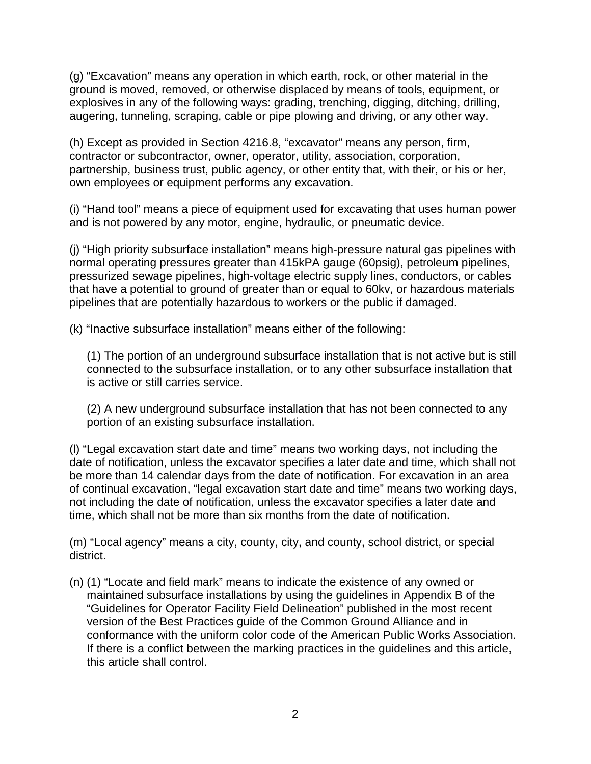(g) "Excavation" means any operation in which earth, rock, or other material in the ground is moved, removed, or otherwise displaced by means of tools, equipment, or explosives in any of the following ways: grading, trenching, digging, ditching, drilling, augering, tunneling, scraping, cable or pipe plowing and driving, or any other way.

 (h) Except as provided in Section 4216.8, "excavator" means any person, firm, partnership, business trust, public agency, or other entity that, with their, or his or her, contractor or subcontractor, owner, operator, utility, association, corporation, own employees or equipment performs any excavation.

 (i) "Hand tool" means a piece of equipment used for excavating that uses human power and is not powered by any motor, engine, hydraulic, or pneumatic device.

 pressurized sewage pipelines, high-voltage electric supply lines, conductors, or cables (j) "High priority subsurface installation" means high-pressure natural gas pipelines with normal operating pressures greater than 415kPA gauge (60psig), petroleum pipelines, that have a potential to ground of greater than or equal to 60kv, or hazardous materials pipelines that are potentially hazardous to workers or the public if damaged.

(k) "Inactive subsurface installation" means either of the following:

(1) The portion of an underground subsurface installation that is not active but is still connected to the subsurface installation, or to any other subsurface installation that is active or still carries service.

(2) A new underground subsurface installation that has not been connected to any portion of an existing subsurface installation.

 not including the date of notification, unless the excavator specifies a later date and (l) "Legal excavation start date and time" means two working days, not including the date of notification, unless the excavator specifies a later date and time, which shall not be more than 14 calendar days from the date of notification. For excavation in an area of continual excavation, "legal excavation start date and time" means two working days, time, which shall not be more than six months from the date of notification.

 (m) "Local agency" means a city, county, city, and county, school district, or special district.

 (n) (1) "Locate and field mark" means to indicate the existence of any owned or maintained subsurface installations by using the guidelines in Appendix B of the "Guidelines for Operator Facility Field Delineation" published in the most recent version of the Best Practices guide of the Common Ground Alliance and in conformance with the uniform color code of the American Public Works Association. If there is a conflict between the marking practices in the guidelines and this article, this article shall control.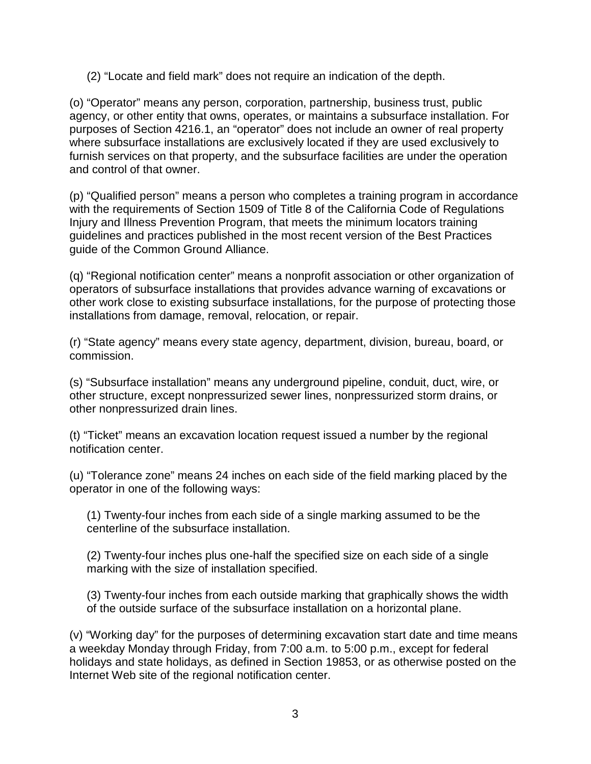(2) "Locate and field mark" does not require an indication of the depth.

 agency, or other entity that owns, operates, or maintains a subsurface installation. For purposes of Section 4216.1, an "operator" does not include an owner of real property furnish services on that property, and the subsurface facilities are under the operation (o) "Operator" means any person, corporation, partnership, business trust, public where subsurface installations are exclusively located if they are used exclusively to and control of that owner.

(p) "Qualified person" means a person who completes a training program in accordance with the requirements of Section 1509 of Title 8 of the California Code of Regulations Injury and Illness Prevention Program, that meets the minimum locators training guidelines and practices published in the most recent version of the Best Practices guide of the Common Ground Alliance.

(q) "Regional notification center" means a nonprofit association or other organization of operators of subsurface installations that provides advance warning of excavations or other work close to existing subsurface installations, for the purpose of protecting those installations from damage, removal, relocation, or repair.

(r) "State agency" means every state agency, department, division, bureau, board, or commission.

(s) "Subsurface installation" means any underground pipeline, conduit, duct, wire, or other structure, except nonpressurized sewer lines, nonpressurized storm drains, or other nonpressurized drain lines.

(t) "Ticket" means an excavation location request issued a number by the regional notification center.

 (u) "Tolerance zone" means 24 inches on each side of the field marking placed by the operator in one of the following ways:

 (1) Twenty-four inches from each side of a single marking assumed to be the centerline of the subsurface installation.

(2) Twenty-four inches plus one-half the specified size on each side of a single marking with the size of installation specified.

 (3) Twenty-four inches from each outside marking that graphically shows the width of the outside surface of the subsurface installation on a horizontal plane.

 (v) "Working day" for the purposes of determining excavation start date and time means holidays and state holidays, as defined in Section 19853, or as otherwise posted on the a weekday Monday through Friday, from 7:00 a.m. to 5:00 p.m., except for federal Internet Web site of the regional notification center.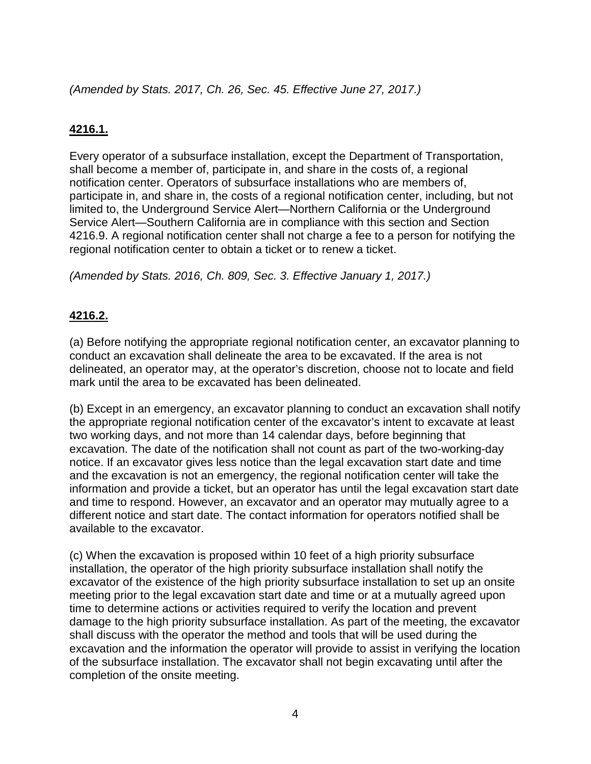*(Amended by Stats. 2017, Ch. 26, Sec. 45. Effective June 27, 2017.)* 

# **4216.1.**

 Every operator of a subsurface installation, except the Department of Transportation, participate in, and share in, the costs of a regional notification center, including, but not shall become a member of, participate in, and share in the costs of, a regional notification center. Operators of subsurface installations who are members of, limited to, the Underground Service Alert—Northern California or the Underground Service Alert—Southern California are in compliance with this section and Section 4216.9. A regional notification center shall not charge a fee to a person for notifying the regional notification center to obtain a ticket or to renew a ticket.

 *(Amended by Stats. 2016, Ch. 809, Sec. 3. Effective January 1, 2017.)* 

### **4216.2.**

(a) Before notifying the appropriate regional notification center, an excavator planning to conduct an excavation shall delineate the area to be excavated. If the area is not delineated, an operator may, at the operator's discretion, choose not to locate and field mark until the area to be excavated has been delineated.

 (b) Except in an emergency, an excavator planning to conduct an excavation shall notify excavation. The date of the notification shall not count as part of the two-working-day information and provide a ticket, but an operator has until the legal excavation start date the appropriate regional notification center of the excavator's intent to excavate at least two working days, and not more than 14 calendar days, before beginning that notice. If an excavator gives less notice than the legal excavation start date and time and the excavation is not an emergency, the regional notification center will take the and time to respond. However, an excavator and an operator may mutually agree to a different notice and start date. The contact information for operators notified shall be available to the excavator.

(c) When the excavation is proposed within 10 feet of a high priority subsurface installation, the operator of the high priority subsurface installation shall notify the excavator of the existence of the high priority subsurface installation to set up an onsite meeting prior to the legal excavation start date and time or at a mutually agreed upon time to determine actions or activities required to verify the location and prevent damage to the high priority subsurface installation. As part of the meeting, the excavator shall discuss with the operator the method and tools that will be used during the excavation and the information the operator will provide to assist in verifying the location of the subsurface installation. The excavator shall not begin excavating until after the completion of the onsite meeting.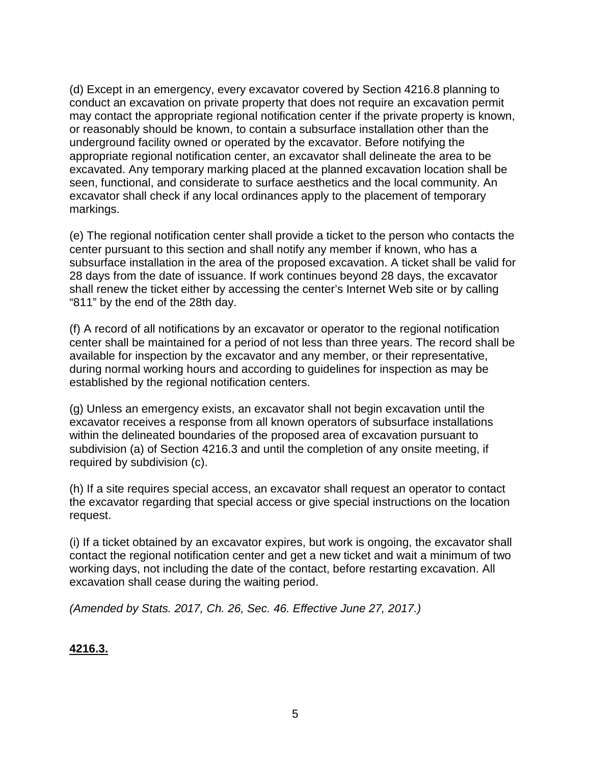(d) Except in an emergency, every excavator covered by Section 4216.8 planning to conduct an excavation on private property that does not require an excavation permit may contact the appropriate regional notification center if the private property is known, or reasonably should be known, to contain a subsurface installation other than the underground facility owned or operated by the excavator. Before notifying the appropriate regional notification center, an excavator shall delineate the area to be excavated. Any temporary marking placed at the planned excavation location shall be seen, functional, and considerate to surface aesthetics and the local community. An excavator shall check if any local ordinances apply to the placement of temporary markings.

(e) The regional notification center shall provide a ticket to the person who contacts the center pursuant to this section and shall notify any member if known, who has a subsurface installation in the area of the proposed excavation. A ticket shall be valid for 28 days from the date of issuance. If work continues beyond 28 days, the excavator shall renew the ticket either by accessing the center's Internet Web site or by calling "811" by the end of the 28th day.

(f) A record of all notifications by an excavator or operator to the regional notification center shall be maintained for a period of not less than three years. The record shall be available for inspection by the excavator and any member, or their representative, during normal working hours and according to guidelines for inspection as may be established by the regional notification centers.

(g) Unless an emergency exists, an excavator shall not begin excavation until the excavator receives a response from all known operators of subsurface installations within the delineated boundaries of the proposed area of excavation pursuant to subdivision (a) of Section 4216.3 and until the completion of any onsite meeting, if required by subdivision (c).

 (h) If a site requires special access, an excavator shall request an operator to contact the excavator regarding that special access or give special instructions on the location request.

 (i) If a ticket obtained by an excavator expires, but work is ongoing, the excavator shall contact the regional notification center and get a new ticket and wait a minimum of two working days, not including the date of the contact, before restarting excavation. All excavation shall cease during the waiting period.

*(Amended by Stats. 2017, Ch. 26, Sec. 46. Effective June 27, 2017.)* 

### **4216.3.**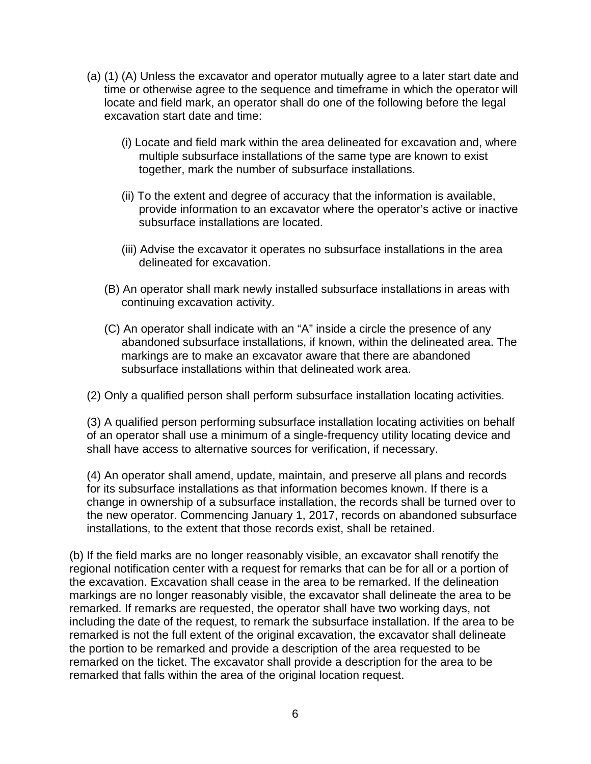- (a) (1) (A) Unless the excavator and operator mutually agree to a later start date and time or otherwise agree to the sequence and timeframe in which the operator will locate and field mark, an operator shall do one of the following before the legal excavation start date and time:
	- (i) Locate and field mark within the area delineated for excavation and, where multiple subsurface installations of the same type are known to exist together, mark the number of subsurface installations.
	- (ii) To the extent and degree of accuracy that the information is available, provide information to an excavator where the operator's active or inactive subsurface installations are located.
	- (iii) Advise the excavator it operates no subsurface installations in the area delineated for excavation.
	- (B) An operator shall mark newly installed subsurface installations in areas with continuing excavation activity.
	- (C) An operator shall indicate with an "A" inside a circle the presence of any abandoned subsurface installations, if known, within the delineated area. The markings are to make an excavator aware that there are abandoned subsurface installations within that delineated work area.

(2) Only a qualified person shall perform subsurface installation locating activities.

 of an operator shall use a minimum of a single-frequency utility locating device and (3) A qualified person performing subsurface installation locating activities on behalf shall have access to alternative sources for verification, if necessary.

 (4) An operator shall amend, update, maintain, and preserve all plans and records for its subsurface installations as that information becomes known. If there is a installations, to the extent that those records exist, shall be retained. change in ownership of a subsurface installation, the records shall be turned over to the new operator. Commencing January 1, 2017, records on abandoned subsurface

 regional notification center with a request for remarks that can be for all or a portion of including the date of the request, to remark the subsurface installation. If the area to be (b) If the field marks are no longer reasonably visible, an excavator shall renotify the the excavation. Excavation shall cease in the area to be remarked. If the delineation markings are no longer reasonably visible, the excavator shall delineate the area to be remarked. If remarks are requested, the operator shall have two working days, not remarked is not the full extent of the original excavation, the excavator shall delineate the portion to be remarked and provide a description of the area requested to be remarked on the ticket. The excavator shall provide a description for the area to be remarked that falls within the area of the original location request.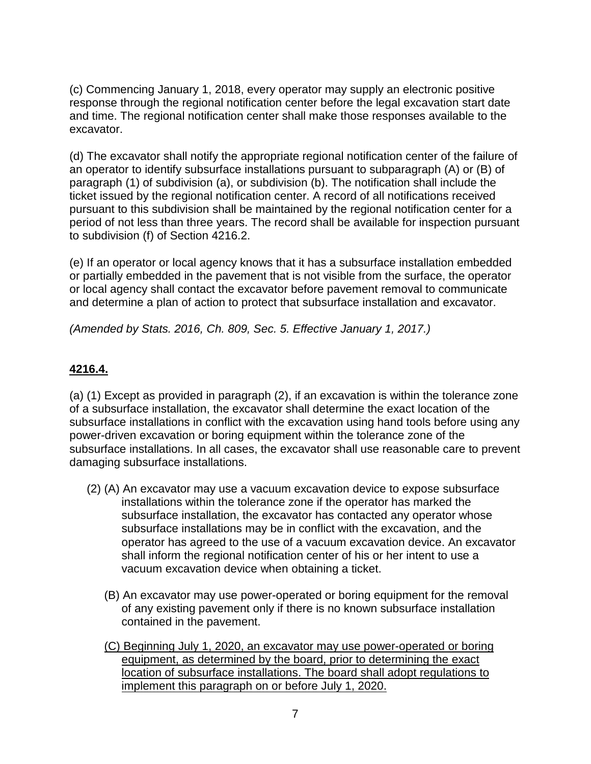(c) Commencing January 1, 2018, every operator may supply an electronic positive response through the regional notification center before the legal excavation start date and time. The regional notification center shall make those responses available to the excavator.

 period of not less than three years. The record shall be available for inspection pursuant (d) The excavator shall notify the appropriate regional notification center of the failure of an operator to identify subsurface installations pursuant to subparagraph (A) or (B) of paragraph (1) of subdivision (a), or subdivision (b). The notification shall include the ticket issued by the regional notification center. A record of all notifications received pursuant to this subdivision shall be maintained by the regional notification center for a to subdivision (f) of Section 4216.2.

(e) If an operator or local agency knows that it has a subsurface installation embedded or partially embedded in the pavement that is not visible from the surface, the operator or local agency shall contact the excavator before pavement removal to communicate and determine a plan of action to protect that subsurface installation and excavator.

 *(Amended by Stats. 2016, Ch. 809, Sec. 5. Effective January 1, 2017.)* 

### **4216.4.**

(a) (1) Except as provided in paragraph (2), if an excavation is within the tolerance zone of a subsurface installation, the excavator shall determine the exact location of the subsurface installations in conflict with the excavation using hand tools before using any power-driven excavation or boring equipment within the tolerance zone of the subsurface installations. In all cases, the excavator shall use reasonable care to prevent damaging subsurface installations.

- (2) (A) An excavator may use a vacuum excavation device to expose subsurface installations within the tolerance zone if the operator has marked the subsurface installation, the excavator has contacted any operator whose subsurface installations may be in conflict with the excavation, and the operator has agreed to the use of a vacuum excavation device. An excavator shall inform the regional notification center of his or her intent to use a vacuum excavation device when obtaining a ticket.
	- (B) An excavator may use power-operated or boring equipment for the removal of any existing pavement only if there is no known subsurface installation contained in the pavement.
	- (C) Beginning July 1, 2020, an excavator may use power-operated or boring equipment, as determined by the board, prior to determining the exact location of subsurface installations. The board shall adopt regulations to implement this paragraph on or before July 1, 2020.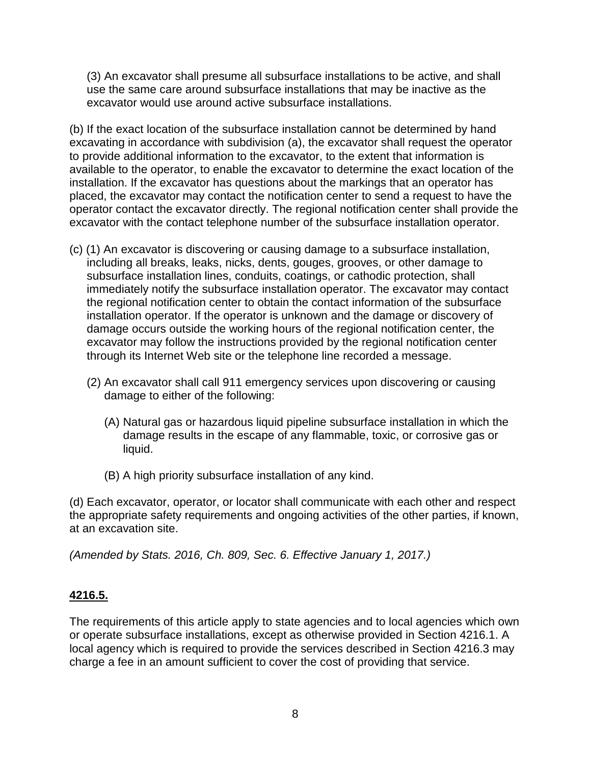(3) An excavator shall presume all subsurface installations to be active, and shall use the same care around subsurface installations that may be inactive as the excavator would use around active subsurface installations.

(b) If the exact location of the subsurface installation cannot be determined by hand excavating in accordance with subdivision (a), the excavator shall request the operator to provide additional information to the excavator, to the extent that information is available to the operator, to enable the excavator to determine the exact location of the installation. If the excavator has questions about the markings that an operator has placed, the excavator may contact the notification center to send a request to have the operator contact the excavator directly. The regional notification center shall provide the excavator with the contact telephone number of the subsurface installation operator.

- (c) (1) An excavator is discovering or causing damage to a subsurface installation, immediately notify the subsurface installation operator. The excavator may contact through its Internet Web site or the telephone line recorded a message. including all breaks, leaks, nicks, dents, gouges, grooves, or other damage to subsurface installation lines, conduits, coatings, or cathodic protection, shall the regional notification center to obtain the contact information of the subsurface installation operator. If the operator is unknown and the damage or discovery of damage occurs outside the working hours of the regional notification center, the excavator may follow the instructions provided by the regional notification center
	- (2) An excavator shall call 911 emergency services upon discovering or causing damage to either of the following:
		- (A) Natural gas or hazardous liquid pipeline subsurface installation in which the damage results in the escape of any flammable, toxic, or corrosive gas or liquid.
		- (B) A high priority subsurface installation of any kind.

(d) Each excavator, operator, or locator shall communicate with each other and respect the appropriate safety requirements and ongoing activities of the other parties, if known, at an excavation site.

 *(Amended by Stats. 2016, Ch. 809, Sec. 6. Effective January 1, 2017.)* 

### **4216.5.**

The requirements of this article apply to state agencies and to local agencies which own or operate subsurface installations, except as otherwise provided in Section 4216.1. A local agency which is required to provide the services described in Section 4216.3 may charge a fee in an amount sufficient to cover the cost of providing that service.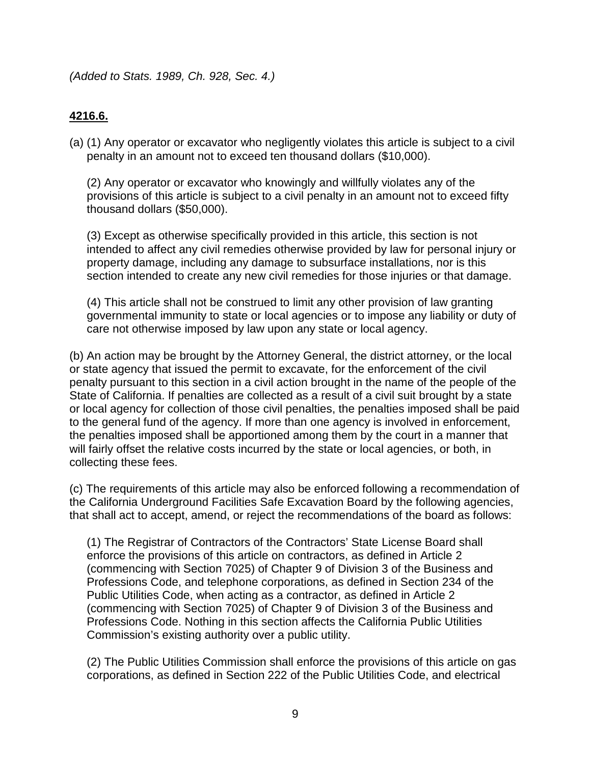*(Added to Stats. 1989, Ch. 928, Sec. 4.)* 

### **4216.6.**

 (a) (1) Any operator or excavator who negligently violates this article is subject to a civil penalty in an amount not to exceed ten thousand dollars (\$10,000).

(2) Any operator or excavator who knowingly and willfully violates any of the provisions of this article is subject to a civil penalty in an amount not to exceed fifty thousand dollars (\$50,000).

 property damage, including any damage to subsurface installations, nor is this (3) Except as otherwise specifically provided in this article, this section is not intended to affect any civil remedies otherwise provided by law for personal injury or section intended to create any new civil remedies for those injuries or that damage.

 (4) This article shall not be construed to limit any other provision of law granting governmental immunity to state or local agencies or to impose any liability or duty of care not otherwise imposed by law upon any state or local agency.

 or state agency that issued the permit to excavate, for the enforcement of the civil State of California. If penalties are collected as a result of a civil suit brought by a state (b) An action may be brought by the Attorney General, the district attorney, or the local penalty pursuant to this section in a civil action brought in the name of the people of the or local agency for collection of those civil penalties, the penalties imposed shall be paid to the general fund of the agency. If more than one agency is involved in enforcement, the penalties imposed shall be apportioned among them by the court in a manner that will fairly offset the relative costs incurred by the state or local agencies, or both, in collecting these fees.

(c) The requirements of this article may also be enforced following a recommendation of the California Underground Facilities Safe Excavation Board by the following agencies, that shall act to accept, amend, or reject the recommendations of the board as follows:

 (1) The Registrar of Contractors of the Contractors' State License Board shall enforce the provisions of this article on contractors, as defined in Article 2 (commencing with Section 7025) of Chapter 9 of Division 3 of the Business and Professions Code, and telephone corporations, as defined in Section 234 of the Public Utilities Code, when acting as a contractor, as defined in Article 2 (commencing with Section 7025) of Chapter 9 of Division 3 of the Business and Professions Code. Nothing in this section affects the California Public Utilities Commission's existing authority over a public utility.

(2) The Public Utilities Commission shall enforce the provisions of this article on gas corporations, as defined in Section 222 of the Public Utilities Code, and electrical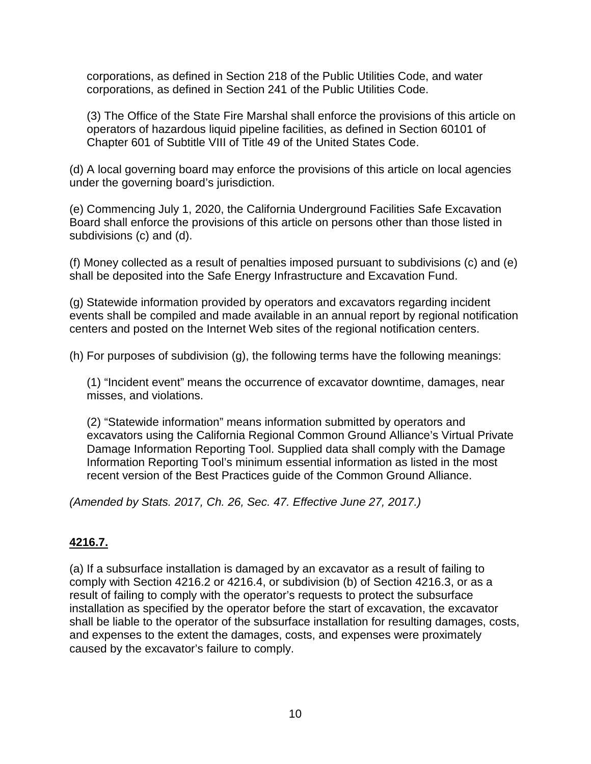corporations, as defined in Section 218 of the Public Utilities Code, and water corporations, as defined in Section 241 of the Public Utilities Code.

 Chapter 601 of Subtitle VIII of Title 49 of the United States Code. (3) The Office of the State Fire Marshal shall enforce the provisions of this article on operators of hazardous liquid pipeline facilities, as defined in Section 60101 of

 under the governing board's jurisdiction. (d) A local governing board may enforce the provisions of this article on local agencies

(e) Commencing July 1, 2020, the California Underground Facilities Safe Excavation Board shall enforce the provisions of this article on persons other than those listed in subdivisions (c) and (d).

 (f) Money collected as a result of penalties imposed pursuant to subdivisions (c) and (e) shall be deposited into the Safe Energy Infrastructure and Excavation Fund.

 centers and posted on the Internet Web sites of the regional notification centers. (g) Statewide information provided by operators and excavators regarding incident events shall be compiled and made available in an annual report by regional notification

(h) For purposes of subdivision (g), the following terms have the following meanings:

(1) "Incident event" means the occurrence of excavator downtime, damages, near misses, and violations.

(2) "Statewide information" means information submitted by operators and excavators using the California Regional Common Ground Alliance's Virtual Private Damage Information Reporting Tool. Supplied data shall comply with the Damage Information Reporting Tool's minimum essential information as listed in the most recent version of the Best Practices guide of the Common Ground Alliance.

*(Amended by Stats. 2017, Ch. 26, Sec. 47. Effective June 27, 2017.)* 

## **4216.7.**

 (a) If a subsurface installation is damaged by an excavator as a result of failing to comply with Section 4216.2 or 4216.4, or subdivision (b) of Section 4216.3, or as a result of failing to comply with the operator's requests to protect the subsurface installation as specified by the operator before the start of excavation, the excavator shall be liable to the operator of the subsurface installation for resulting damages, costs, and expenses to the extent the damages, costs, and expenses were proximately caused by the excavator's failure to comply.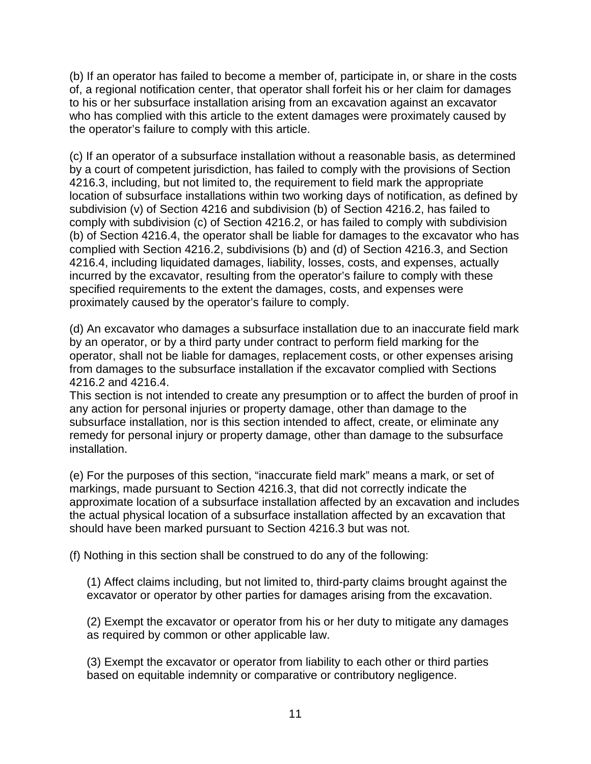(b) If an operator has failed to become a member of, participate in, or share in the costs of, a regional notification center, that operator shall forfeit his or her claim for damages to his or her subsurface installation arising from an excavation against an excavator who has complied with this article to the extent damages were proximately caused by the operator's failure to comply with this article.

 by a court of competent jurisdiction, has failed to comply with the provisions of Section 4216.3, including, but not limited to, the requirement to field mark the appropriate location of subsurface installations within two working days of notification, as defined by (b) of Section 4216.4, the operator shall be liable for damages to the excavator who has (c) If an operator of a subsurface installation without a reasonable basis, as determined subdivision (v) of Section 4216 and subdivision (b) of Section 4216.2, has failed to comply with subdivision (c) of Section 4216.2, or has failed to comply with subdivision complied with Section 4216.2, subdivisions (b) and (d) of Section 4216.3, and Section 4216.4, including liquidated damages, liability, losses, costs, and expenses, actually incurred by the excavator, resulting from the operator's failure to comply with these specified requirements to the extent the damages, costs, and expenses were proximately caused by the operator's failure to comply.

(d) An excavator who damages a subsurface installation due to an inaccurate field mark by an operator, or by a third party under contract to perform field marking for the operator, shall not be liable for damages, replacement costs, or other expenses arising from damages to the subsurface installation if the excavator complied with Sections 4216.2 and 4216.4.

This section is not intended to create any presumption or to affect the burden of proof in any action for personal injuries or property damage, other than damage to the subsurface installation, nor is this section intended to affect, create, or eliminate any remedy for personal injury or property damage, other than damage to the subsurface installation.

 (e) For the purposes of this section, "inaccurate field mark" means a mark, or set of markings, made pursuant to Section 4216.3, that did not correctly indicate the approximate location of a subsurface installation affected by an excavation and includes the actual physical location of a subsurface installation affected by an excavation that should have been marked pursuant to Section 4216.3 but was not.

(f) Nothing in this section shall be construed to do any of the following:

 excavator or operator by other parties for damages arising from the excavation. (1) Affect claims including, but not limited to, third-party claims brought against the

(2) Exempt the excavator or operator from his or her duty to mitigate any damages as required by common or other applicable law.

(3) Exempt the excavator or operator from liability to each other or third parties based on equitable indemnity or comparative or contributory negligence.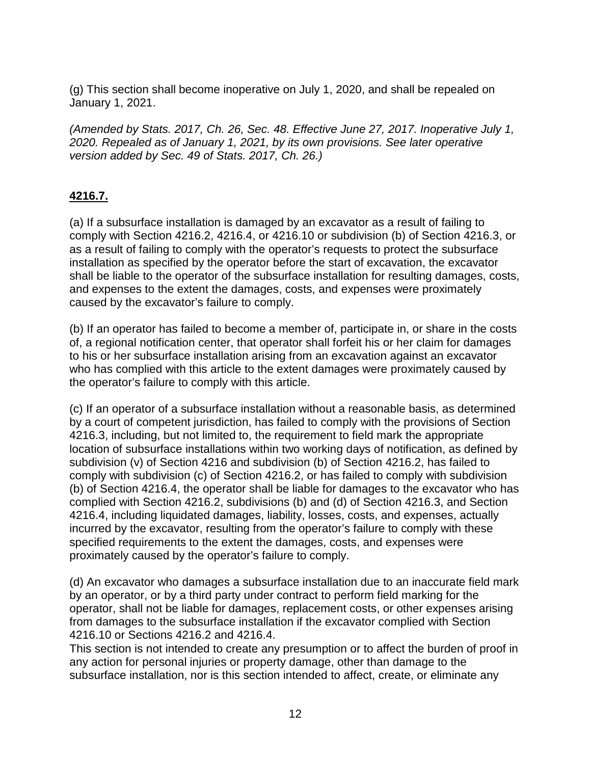(g) This section shall become inoperative on July 1, 2020, and shall be repealed on January 1, 2021.

 *2020. Repealed as of January 1, 2021, by its own provisions. See later operative version added by Sec. 49 of Stats. 2017, Ch. 26.) (Amended by Stats. 2017, Ch. 26, Sec. 48. Effective June 27, 2017. Inoperative July 1,* 

# **4216.7.**

 (a) If a subsurface installation is damaged by an excavator as a result of failing to comply with Section 4216.2, 4216.4, or 4216.10 or subdivision (b) of Section 4216.3, or as a result of failing to comply with the operator's requests to protect the subsurface installation as specified by the operator before the start of excavation, the excavator shall be liable to the operator of the subsurface installation for resulting damages, costs, and expenses to the extent the damages, costs, and expenses were proximately caused by the excavator's failure to comply.

 (b) If an operator has failed to become a member of, participate in, or share in the costs of, a regional notification center, that operator shall forfeit his or her claim for damages to his or her subsurface installation arising from an excavation against an excavator who has complied with this article to the extent damages were proximately caused by the operator's failure to comply with this article.

 by a court of competent jurisdiction, has failed to comply with the provisions of Section 4216.3, including, but not limited to, the requirement to field mark the appropriate location of subsurface installations within two working days of notification, as defined by (b) of Section 4216.4, the operator shall be liable for damages to the excavator who has (c) If an operator of a subsurface installation without a reasonable basis, as determined subdivision (v) of Section 4216 and subdivision (b) of Section 4216.2, has failed to comply with subdivision (c) of Section 4216.2, or has failed to comply with subdivision complied with Section 4216.2, subdivisions (b) and (d) of Section 4216.3, and Section 4216.4, including liquidated damages, liability, losses, costs, and expenses, actually incurred by the excavator, resulting from the operator's failure to comply with these specified requirements to the extent the damages, costs, and expenses were proximately caused by the operator's failure to comply.

(d) An excavator who damages a subsurface installation due to an inaccurate field mark by an operator, or by a third party under contract to perform field marking for the operator, shall not be liable for damages, replacement costs, or other expenses arising from damages to the subsurface installation if the excavator complied with Section 4216.10 or Sections 4216.2 and 4216.4.

This section is not intended to create any presumption or to affect the burden of proof in any action for personal injuries or property damage, other than damage to the subsurface installation, nor is this section intended to affect, create, or eliminate any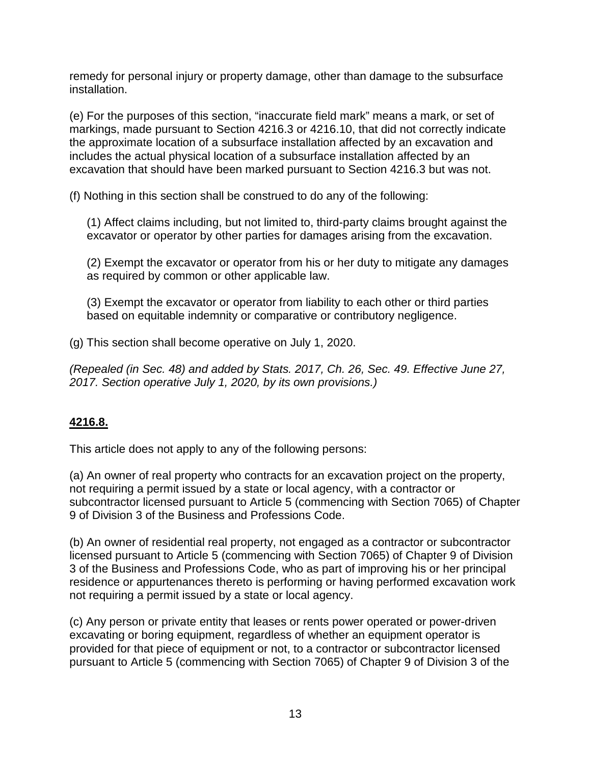remedy for personal injury or property damage, other than damage to the subsurface installation.

 (e) For the purposes of this section, "inaccurate field mark" means a mark, or set of markings, made pursuant to Section 4216.3 or 4216.10, that did not correctly indicate the approximate location of a subsurface installation affected by an excavation and includes the actual physical location of a subsurface installation affected by an excavation that should have been marked pursuant to Section 4216.3 but was not.

(f) Nothing in this section shall be construed to do any of the following:

 excavator or operator by other parties for damages arising from the excavation. (1) Affect claims including, but not limited to, third-party claims brought against the

 (2) Exempt the excavator or operator from his or her duty to mitigate any damages as required by common or other applicable law.

(3) Exempt the excavator or operator from liability to each other or third parties based on equitable indemnity or comparative or contributory negligence.

(g) This section shall become operative on July 1, 2020.

 *(Repealed (in Sec. 48) and added by Stats. 2017, Ch. 26, Sec. 49. Effective June 27, 2017. Section operative July 1, 2020, by its own provisions.)* 

# **4216.8.**

This article does not apply to any of the following persons:

 subcontractor licensed pursuant to Article 5 (commencing with Section 7065) of Chapter (a) An owner of real property who contracts for an excavation project on the property, not requiring a permit issued by a state or local agency, with a contractor or 9 of Division 3 of the Business and Professions Code.

 3 of the Business and Professions Code, who as part of improving his or her principal residence or appurtenances thereto is performing or having performed excavation work (b) An owner of residential real property, not engaged as a contractor or subcontractor licensed pursuant to Article 5 (commencing with Section 7065) of Chapter 9 of Division not requiring a permit issued by a state or local agency.

(c) Any person or private entity that leases or rents power operated or power-driven excavating or boring equipment, regardless of whether an equipment operator is provided for that piece of equipment or not, to a contractor or subcontractor licensed pursuant to Article 5 (commencing with Section 7065) of Chapter 9 of Division 3 of the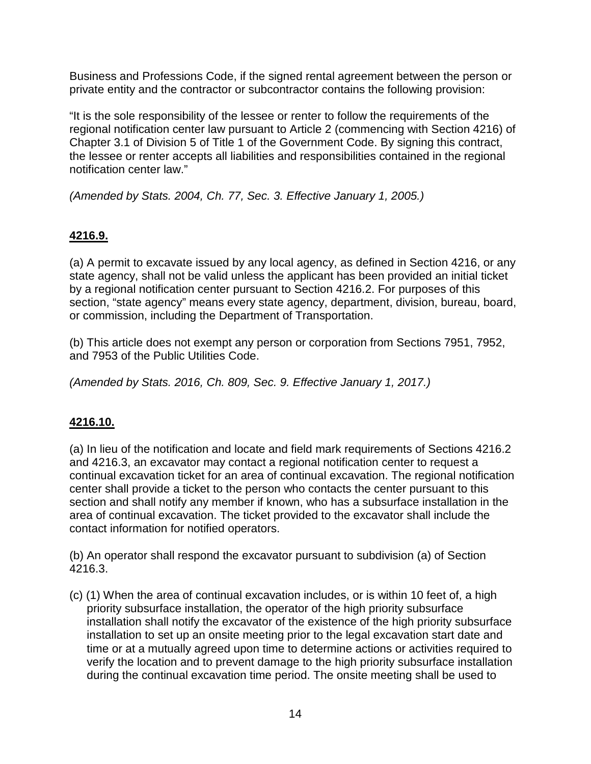Business and Professions Code, if the signed rental agreement between the person or private entity and the contractor or subcontractor contains the following provision:

 Chapter 3.1 of Division 5 of Title 1 of the Government Code. By signing this contract, "It is the sole responsibility of the lessee or renter to follow the requirements of the regional notification center law pursuant to Article 2 (commencing with Section 4216) of the lessee or renter accepts all liabilities and responsibilities contained in the regional notification center law."

 *(Amended by Stats. 2004, Ch. 77, Sec. 3. Effective January 1, 2005.)* 

# **4216.9.**

 (a) A permit to excavate issued by any local agency, as defined in Section 4216, or any by a regional notification center pursuant to Section 4216.2. For purposes of this state agency, shall not be valid unless the applicant has been provided an initial ticket section, "state agency" means every state agency, department, division, bureau, board, or commission, including the Department of Transportation.

(b) This article does not exempt any person or corporation from Sections 7951, 7952, and 7953 of the Public Utilities Code.

 *(Amended by Stats. 2016, Ch. 809, Sec. 9. Effective January 1, 2017.)* 

## **4216.10.**

 (a) In lieu of the notification and locate and field mark requirements of Sections 4216.2 continual excavation ticket for an area of continual excavation. The regional notification center shall provide a ticket to the person who contacts the center pursuant to this and 4216.3, an excavator may contact a regional notification center to request a section and shall notify any member if known, who has a subsurface installation in the area of continual excavation. The ticket provided to the excavator shall include the contact information for notified operators.

(b) An operator shall respond the excavator pursuant to subdivision (a) of Section 4216.3.

(c) (1) When the area of continual excavation includes, or is within 10 feet of, a high priority subsurface installation, the operator of the high priority subsurface installation shall notify the excavator of the existence of the high priority subsurface installation to set up an onsite meeting prior to the legal excavation start date and time or at a mutually agreed upon time to determine actions or activities required to verify the location and to prevent damage to the high priority subsurface installation during the continual excavation time period. The onsite meeting shall be used to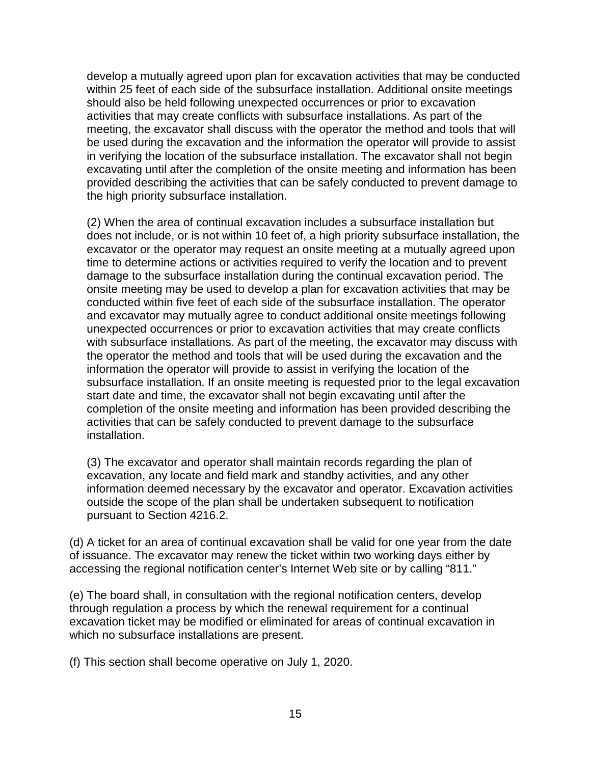activities that may create conflicts with subsurface installations. As part of the develop a mutually agreed upon plan for excavation activities that may be conducted within 25 feet of each side of the subsurface installation. Additional onsite meetings should also be held following unexpected occurrences or prior to excavation meeting, the excavator shall discuss with the operator the method and tools that will be used during the excavation and the information the operator will provide to assist in verifying the location of the subsurface installation. The excavator shall not begin excavating until after the completion of the onsite meeting and information has been provided describing the activities that can be safely conducted to prevent damage to the high priority subsurface installation.

 does not include, or is not within 10 feet of, a high priority subsurface installation, the onsite meeting may be used to develop a plan for excavation activities that may be information the operator will provide to assist in verifying the location of the (2) When the area of continual excavation includes a subsurface installation but excavator or the operator may request an onsite meeting at a mutually agreed upon time to determine actions or activities required to verify the location and to prevent damage to the subsurface installation during the continual excavation period. The conducted within five feet of each side of the subsurface installation. The operator and excavator may mutually agree to conduct additional onsite meetings following unexpected occurrences or prior to excavation activities that may create conflicts with subsurface installations. As part of the meeting, the excavator may discuss with the operator the method and tools that will be used during the excavation and the subsurface installation. If an onsite meeting is requested prior to the legal excavation start date and time, the excavator shall not begin excavating until after the completion of the onsite meeting and information has been provided describing the activities that can be safely conducted to prevent damage to the subsurface installation.

 information deemed necessary by the excavator and operator. Excavation activities (3) The excavator and operator shall maintain records regarding the plan of excavation, any locate and field mark and standby activities, and any other outside the scope of the plan shall be undertaken subsequent to notification pursuant to Section 4216.2.

(d) A ticket for an area of continual excavation shall be valid for one year from the date of issuance. The excavator may renew the ticket within two working days either by accessing the regional notification center's Internet Web site or by calling "811."

(e) The board shall, in consultation with the regional notification centers, develop through regulation a process by which the renewal requirement for a continual excavation ticket may be modified or eliminated for areas of continual excavation in which no subsurface installations are present.

(f) This section shall become operative on July 1, 2020.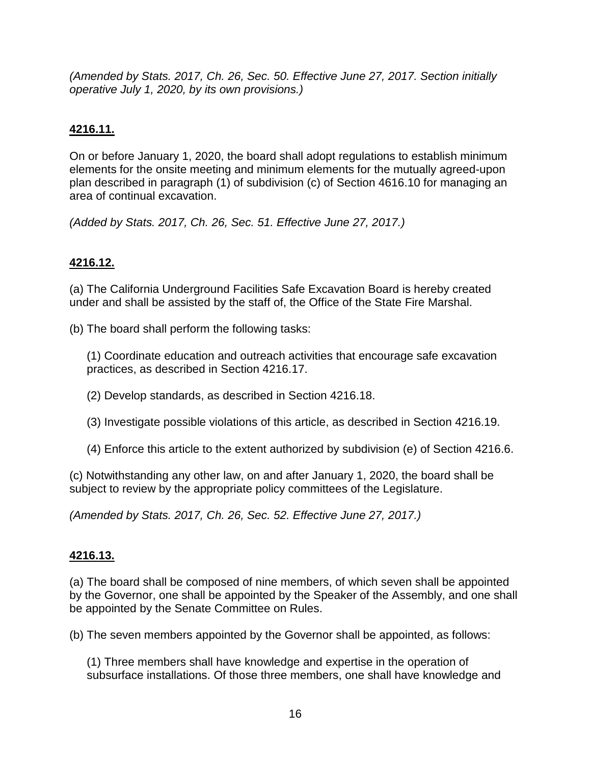*(Amended by Stats. 2017, Ch. 26, Sec. 50. Effective June 27, 2017. Section initially operative July 1, 2020, by its own provisions.)* 

# **4216.11.**

On or before January 1, 2020, the board shall adopt regulations to establish minimum elements for the onsite meeting and minimum elements for the mutually agreed-upon plan described in paragraph (1) of subdivision (c) of Section 4616.10 for managing an area of continual excavation.

*(Added by Stats. 2017, Ch. 26, Sec. 51. Effective June 27, 2017.)* 

# **4216.12.**

(a) The California Underground Facilities Safe Excavation Board is hereby created under and shall be assisted by the staff of, the Office of the State Fire Marshal.

(b) The board shall perform the following tasks:

(1) Coordinate education and outreach activities that encourage safe excavation practices, as described in Section 4216.17.

- (2) Develop standards, as described in Section 4216.18.
- (3) Investigate possible violations of this article, as described in Section 4216.19.
- (4) Enforce this article to the extent authorized by subdivision (e) of Section 4216.6.

(c) Notwithstanding any other law, on and after January 1, 2020, the board shall be subject to review by the appropriate policy committees of the Legislature.

*(Amended by Stats. 2017, Ch. 26, Sec. 52. Effective June 27, 2017.)* 

## **4216.13.**

 by the Governor, one shall be appointed by the Speaker of the Assembly, and one shall (a) The board shall be composed of nine members, of which seven shall be appointed be appointed by the Senate Committee on Rules.

(b) The seven members appointed by the Governor shall be appointed, as follows:

(1) Three members shall have knowledge and expertise in the operation of subsurface installations. Of those three members, one shall have knowledge and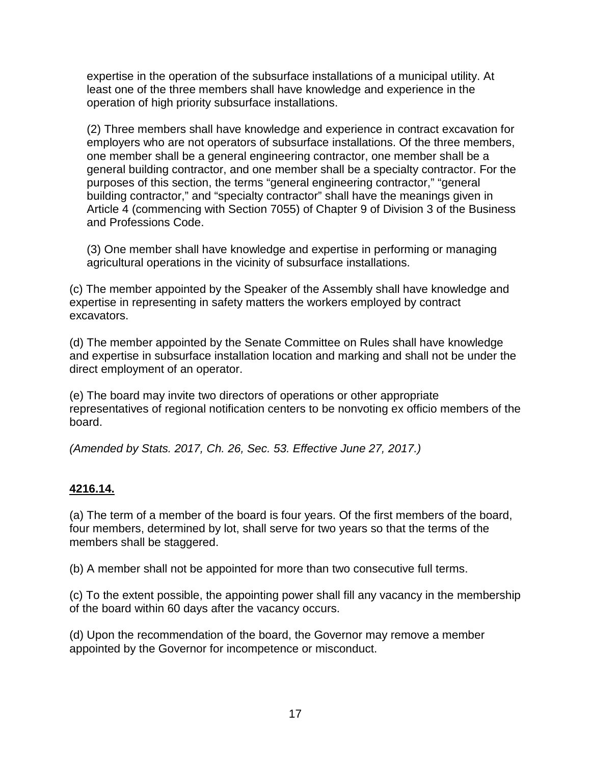expertise in the operation of the subsurface installations of a municipal utility. At least one of the three members shall have knowledge and experience in the operation of high priority subsurface installations.

(2) Three members shall have knowledge and experience in contract excavation for employers who are not operators of subsurface installations. Of the three members, one member shall be a general engineering contractor, one member shall be a general building contractor, and one member shall be a specialty contractor. For the purposes of this section, the terms "general engineering contractor," "general building contractor," and "specialty contractor" shall have the meanings given in Article 4 (commencing with Section 7055) of Chapter 9 of Division 3 of the Business and Professions Code.

(3) One member shall have knowledge and expertise in performing or managing agricultural operations in the vicinity of subsurface installations.

(c) The member appointed by the Speaker of the Assembly shall have knowledge and expertise in representing in safety matters the workers employed by contract excavators.

(d) The member appointed by the Senate Committee on Rules shall have knowledge and expertise in subsurface installation location and marking and shall not be under the direct employment of an operator.

(e) The board may invite two directors of operations or other appropriate representatives of regional notification centers to be nonvoting ex officio members of the board.

*(Amended by Stats. 2017, Ch. 26, Sec. 53. Effective June 27, 2017.)* 

### **4216.14.**

 (a) The term of a member of the board is four years. Of the first members of the board, four members, determined by lot, shall serve for two years so that the terms of the members shall be staggered.

(b) A member shall not be appointed for more than two consecutive full terms.

(c) To the extent possible, the appointing power shall fill any vacancy in the membership of the board within 60 days after the vacancy occurs.

(d) Upon the recommendation of the board, the Governor may remove a member appointed by the Governor for incompetence or misconduct.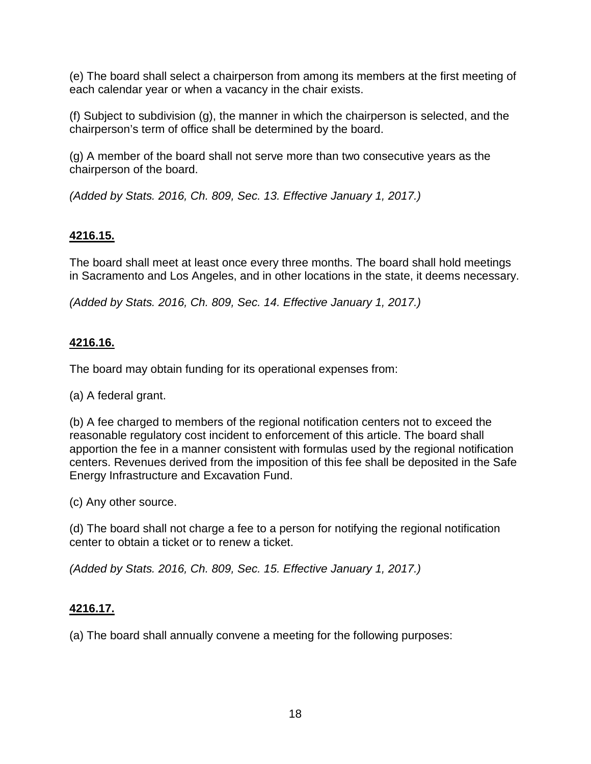(e) The board shall select a chairperson from among its members at the first meeting of each calendar year or when a vacancy in the chair exists.

 (f) Subject to subdivision (g), the manner in which the chairperson is selected, and the chairperson's term of office shall be determined by the board.

(g) A member of the board shall not serve more than two consecutive years as the chairperson of the board.

 *(Added by Stats. 2016, Ch. 809, Sec. 13. Effective January 1, 2017.)* 

# **4216.15.**

The board shall meet at least once every three months. The board shall hold meetings in Sacramento and Los Angeles, and in other locations in the state, it deems necessary.

 *(Added by Stats. 2016, Ch. 809, Sec. 14. Effective January 1, 2017.)* 

## **4216.16.**

The board may obtain funding for its operational expenses from:

(a) A federal grant.

 reasonable regulatory cost incident to enforcement of this article. The board shall centers. Revenues derived from the imposition of this fee shall be deposited in the Safe (b) A fee charged to members of the regional notification centers not to exceed the apportion the fee in a manner consistent with formulas used by the regional notification Energy Infrastructure and Excavation Fund.

(c) Any other source.

(d) The board shall not charge a fee to a person for notifying the regional notification center to obtain a ticket or to renew a ticket.

 *(Added by Stats. 2016, Ch. 809, Sec. 15. Effective January 1, 2017.)* 

# **4216.17.**

(a) The board shall annually convene a meeting for the following purposes: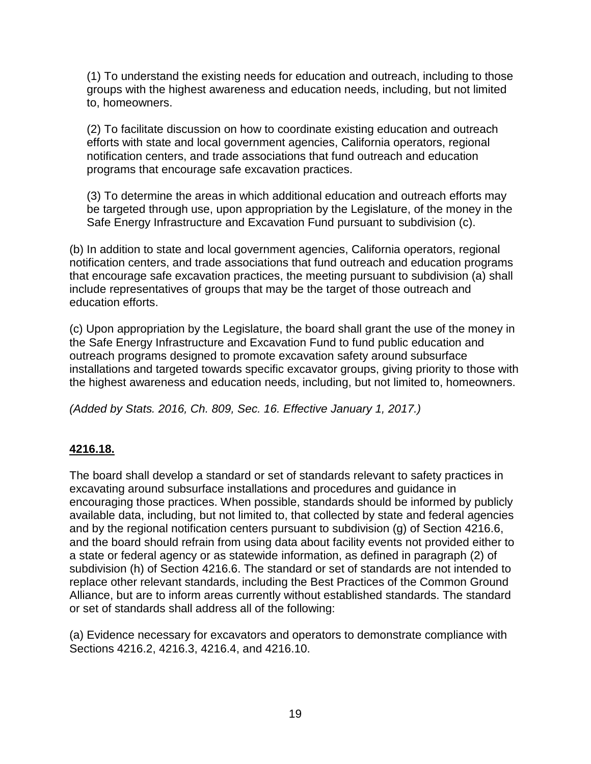groups with the highest awareness and education needs, including, but not limited (1) To understand the existing needs for education and outreach, including to those to, homeowners.

(2) To facilitate discussion on how to coordinate existing education and outreach efforts with state and local government agencies, California operators, regional notification centers, and trade associations that fund outreach and education programs that encourage safe excavation practices.

 (3) To determine the areas in which additional education and outreach efforts may be targeted through use, upon appropriation by the Legislature, of the money in the Safe Energy Infrastructure and Excavation Fund pursuant to subdivision (c).

 include representatives of groups that may be the target of those outreach and (b) In addition to state and local government agencies, California operators, regional notification centers, and trade associations that fund outreach and education programs that encourage safe excavation practices, the meeting pursuant to subdivision (a) shall education efforts.

(c) Upon appropriation by the Legislature, the board shall grant the use of the money in the Safe Energy Infrastructure and Excavation Fund to fund public education and outreach programs designed to promote excavation safety around subsurface installations and targeted towards specific excavator groups, giving priority to those with the highest awareness and education needs, including, but not limited to, homeowners.

 *(Added by Stats. 2016, Ch. 809, Sec. 16. Effective January 1, 2017.)* 

## **4216.18.**

 Alliance, but are to inform areas currently without established standards. The standard or set of standards shall address all of the following: The board shall develop a standard or set of standards relevant to safety practices in excavating around subsurface installations and procedures and guidance in encouraging those practices. When possible, standards should be informed by publicly available data, including, but not limited to, that collected by state and federal agencies and by the regional notification centers pursuant to subdivision (g) of Section 4216.6, and the board should refrain from using data about facility events not provided either to a state or federal agency or as statewide information, as defined in paragraph (2) of subdivision (h) of Section 4216.6. The standard or set of standards are not intended to replace other relevant standards, including the Best Practices of the Common Ground

(a) Evidence necessary for excavators and operators to demonstrate compliance with Sections 4216.2, 4216.3, 4216.4, and 4216.10.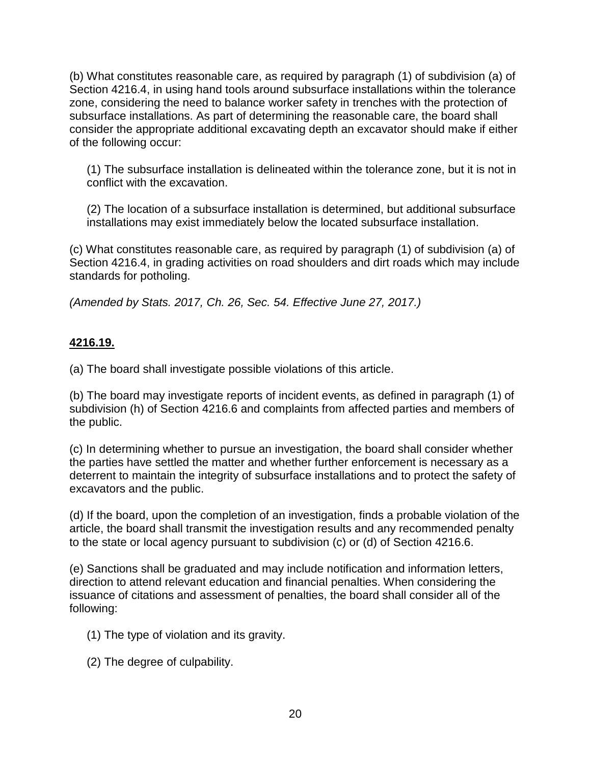(b) What constitutes reasonable care, as required by paragraph (1) of subdivision (a) of Section 4216.4, in using hand tools around subsurface installations within the tolerance zone, considering the need to balance worker safety in trenches with the protection of subsurface installations. As part of determining the reasonable care, the board shall consider the appropriate additional excavating depth an excavator should make if either of the following occur:

 (1) The subsurface installation is delineated within the tolerance zone, but it is not in conflict with the excavation.

(2) The location of a subsurface installation is determined, but additional subsurface installations may exist immediately below the located subsurface installation.

(c) What constitutes reasonable care, as required by paragraph (1) of subdivision (a) of Section 4216.4, in grading activities on road shoulders and dirt roads which may include standards for potholing.

*(Amended by Stats. 2017, Ch. 26, Sec. 54. Effective June 27, 2017.)* 

### **4216.19.**

(a) The board shall investigate possible violations of this article.

 (b) The board may investigate reports of incident events, as defined in paragraph (1) of subdivision (h) of Section 4216.6 and complaints from affected parties and members of the public.

(c) In determining whether to pursue an investigation, the board shall consider whether the parties have settled the matter and whether further enforcement is necessary as a deterrent to maintain the integrity of subsurface installations and to protect the safety of excavators and the public.

 (d) If the board, upon the completion of an investigation, finds a probable violation of the to the state or local agency pursuant to subdivision (c) or (d) of Section 4216.6. article, the board shall transmit the investigation results and any recommended penalty

(e) Sanctions shall be graduated and may include notification and information letters, direction to attend relevant education and financial penalties. When considering the issuance of citations and assessment of penalties, the board shall consider all of the following:

- (1) The type of violation and its gravity.
- (2) The degree of culpability.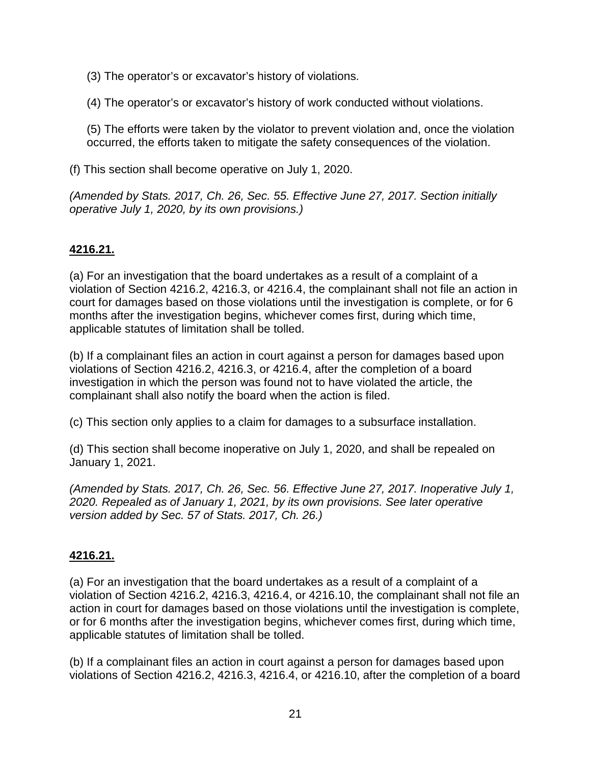(3) The operator's or excavator's history of violations.

(4) The operator's or excavator's history of work conducted without violations.

(5) The efforts were taken by the violator to prevent violation and, once the violation occurred, the efforts taken to mitigate the safety consequences of the violation.

(f) This section shall become operative on July 1, 2020.

*(Amended by Stats. 2017, Ch. 26, Sec. 55. Effective June 27, 2017. Section initially operative July 1, 2020, by its own provisions.)* 

## **4216.21.**

 (a) For an investigation that the board undertakes as a result of a complaint of a months after the investigation begins, whichever comes first, during which time, violation of Section 4216.2, 4216.3, or 4216.4, the complainant shall not file an action in court for damages based on those violations until the investigation is complete, or for 6 applicable statutes of limitation shall be tolled.

 complainant shall also notify the board when the action is filed. (b) If a complainant files an action in court against a person for damages based upon violations of Section 4216.2, 4216.3, or 4216.4, after the completion of a board investigation in which the person was found not to have violated the article, the

(c) This section only applies to a claim for damages to a subsurface installation.

 (d) This section shall become inoperative on July 1, 2020, and shall be repealed on January 1, 2021.

 *(Amended by Stats. 2017, Ch. 26, Sec. 56. Effective June 27, 2017. Inoperative July 1, 2020. Repealed as of January 1, 2021, by its own provisions. See later operative version added by Sec. 57 of Stats. 2017, Ch. 26.)* 

# **4216.21.**

 (a) For an investigation that the board undertakes as a result of a complaint of a violation of Section 4216.2, 4216.3, 4216.4, or 4216.10, the complainant shall not file an or for 6 months after the investigation begins, whichever comes first, during which time, action in court for damages based on those violations until the investigation is complete, applicable statutes of limitation shall be tolled.

(b) If a complainant files an action in court against a person for damages based upon violations of Section 4216.2, 4216.3, 4216.4, or 4216.10, after the completion of a board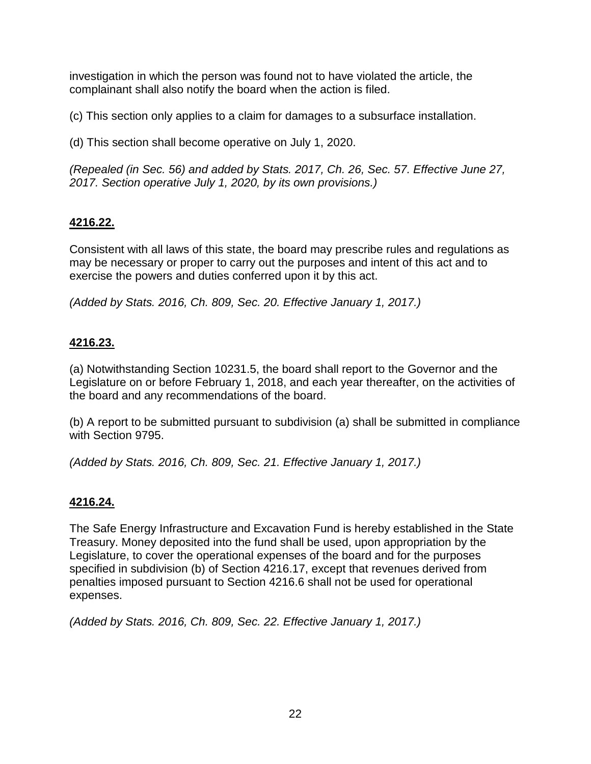investigation in which the person was found not to have violated the article, the complainant shall also notify the board when the action is filed.

(c) This section only applies to a claim for damages to a subsurface installation.

(d) This section shall become operative on July 1, 2020.

 *(Repealed (in Sec. 56) and added by Stats. 2017, Ch. 26, Sec. 57. Effective June 27, 2017. Section operative July 1, 2020, by its own provisions.)* 

# **4216.22.**

 may be necessary or proper to carry out the purposes and intent of this act and to Consistent with all laws of this state, the board may prescribe rules and regulations as exercise the powers and duties conferred upon it by this act.

 *(Added by Stats. 2016, Ch. 809, Sec. 20. Effective January 1, 2017.)* 

## **4216.23.**

(a) Notwithstanding Section 10231.5, the board shall report to the Governor and the Legislature on or before February 1, 2018, and each year thereafter, on the activities of the board and any recommendations of the board.

(b) A report to be submitted pursuant to subdivision (a) shall be submitted in compliance with Section 9795.

 *(Added by Stats. 2016, Ch. 809, Sec. 21. Effective January 1, 2017.)* 

## **4216.24.**

 penalties imposed pursuant to Section 4216.6 shall not be used for operational The Safe Energy Infrastructure and Excavation Fund is hereby established in the State Treasury. Money deposited into the fund shall be used, upon appropriation by the Legislature, to cover the operational expenses of the board and for the purposes specified in subdivision (b) of Section 4216.17, except that revenues derived from expenses.

 *(Added by Stats. 2016, Ch. 809, Sec. 22. Effective January 1, 2017.)*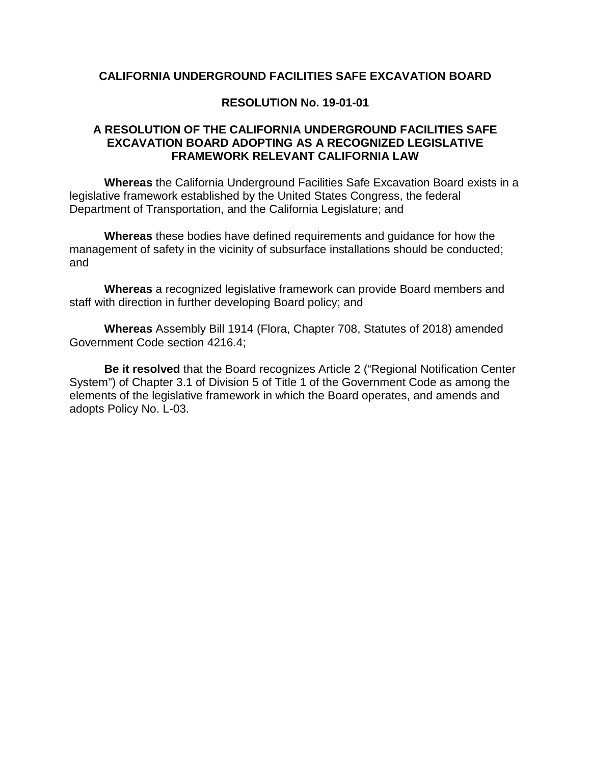#### **CALIFORNIA UNDERGROUND FACILITIES SAFE EXCAVATION BOARD**

#### **RESOLUTION No. 19-01-01**

#### **A RESOLUTION OF THE CALIFORNIA UNDERGROUND FACILITIES SAFE EXCAVATION BOARD ADOPTING AS A RECOGNIZED LEGISLATIVE FRAMEWORK RELEVANT CALIFORNIA LAW**

**Whereas** the California Underground Facilities Safe Excavation Board exists in a legislative framework established by the United States Congress, the federal Department of Transportation, and the California Legislature; and

 management of safety in the vicinity of subsurface installations should be conducted; **Whereas** these bodies have defined requirements and guidance for how the and

 staff with direction in further developing Board policy; and **Whereas** a recognized legislative framework can provide Board members and

 **Whereas** Assembly Bill 1914 (Flora, Chapter 708, Statutes of 2018) amended Government Code section 4216.4;

 System") of Chapter 3.1 of Division 5 of Title 1 of the Government Code as among the **Be it resolved** that the Board recognizes Article 2 ("Regional Notification Center elements of the legislative framework in which the Board operates, and amends and adopts Policy No. L-03.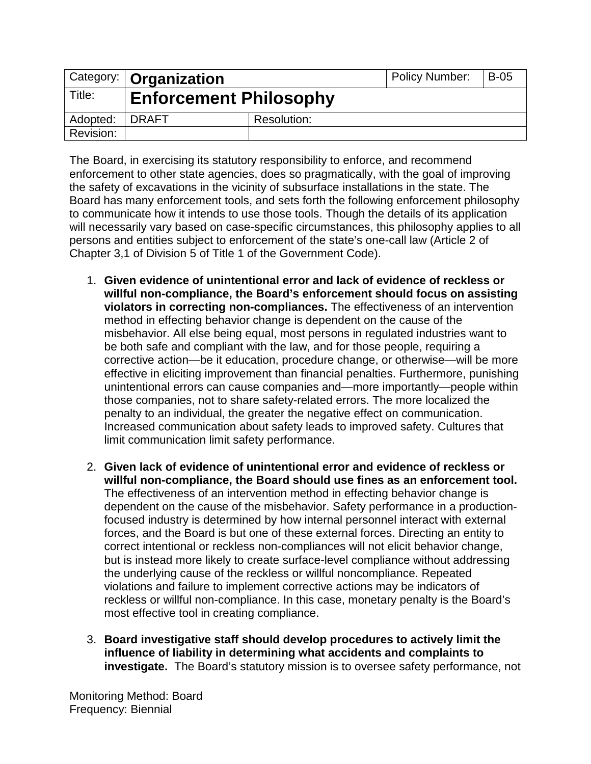|                  | Category:   Organization      |             | <sup>1</sup> Policy Number: | $B-05$ |  |
|------------------|-------------------------------|-------------|-----------------------------|--------|--|
| Title:           | <b>Enforcement Philosophy</b> |             |                             |        |  |
| Adopted:   DRAFT |                               | Resolution: |                             |        |  |
| Revision:        |                               |             |                             |        |  |

 Chapter 3,1 of Division 5 of Title 1 of the Government Code). The Board, in exercising its statutory responsibility to enforce, and recommend enforcement to other state agencies, does so pragmatically, with the goal of improving the safety of excavations in the vicinity of subsurface installations in the state. The Board has many enforcement tools, and sets forth the following enforcement philosophy to communicate how it intends to use those tools. Though the details of its application will necessarily vary based on case-specific circumstances, this philosophy applies to all persons and entities subject to enforcement of the state's one-call law (Article 2 of

- misbehavior. All else being equal, most persons in regulated industries want to 1. **Given evidence of unintentional error and lack of evidence of reckless or willful non-compliance, the Board's enforcement should focus on assisting violators in correcting non-compliances.** The effectiveness of an intervention method in effecting behavior change is dependent on the cause of the be both safe and compliant with the law, and for those people, requiring a corrective action—be it education, procedure change, or otherwise—will be more effective in eliciting improvement than financial penalties. Furthermore, punishing unintentional errors can cause companies and—more importantly—people within those companies, not to share safety-related errors. The more localized the penalty to an individual, the greater the negative effect on communication. Increased communication about safety leads to improved safety. Cultures that limit communication limit safety performance.
- The effectiveness of an intervention method in effecting behavior change is but is instead more likely to create surface-level compliance without addressing reckless or willful non-compliance. In this case, monetary penalty is the Board's 2. **Given lack of evidence of unintentional error and evidence of reckless or willful non-compliance, the Board should use fines as an enforcement tool.** dependent on the cause of the misbehavior. Safety performance in a productionfocused industry is determined by how internal personnel interact with external forces, and the Board is but one of these external forces. Directing an entity to correct intentional or reckless non-compliances will not elicit behavior change, the underlying cause of the reckless or willful noncompliance. Repeated violations and failure to implement corrective actions may be indicators of most effective tool in creating compliance.
- **investigate.** The Board's statutory mission is to oversee safety performance, not 3. **Board investigative staff should develop procedures to actively limit the influence of liability in determining what accidents and complaints to**

 Monitoring Method: Board Frequency: Biennial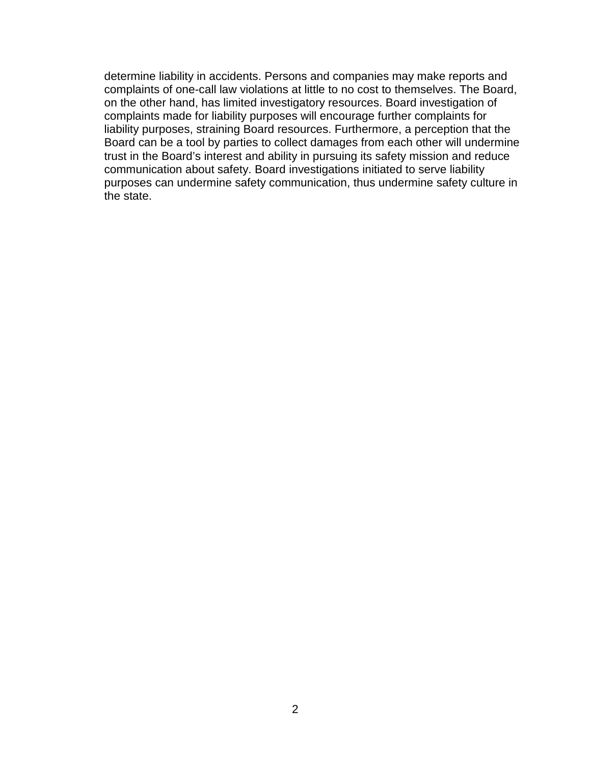complaints made for liability purposes will encourage further complaints for determine liability in accidents. Persons and companies may make reports and complaints of one-call law violations at little to no cost to themselves. The Board, on the other hand, has limited investigatory resources. Board investigation of liability purposes, straining Board resources. Furthermore, a perception that the Board can be a tool by parties to collect damages from each other will undermine trust in the Board's interest and ability in pursuing its safety mission and reduce communication about safety. Board investigations initiated to serve liability purposes can undermine safety communication, thus undermine safety culture in the state.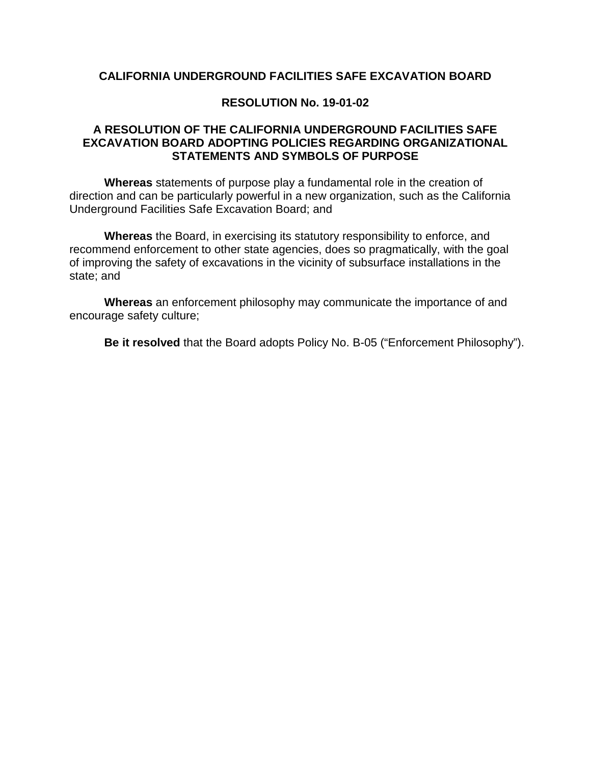### **CALIFORNIA UNDERGROUND FACILITIES SAFE EXCAVATION BOARD**

#### **RESOLUTION No. 19-01-02**

### **A RESOLUTION OF THE CALIFORNIA UNDERGROUND FACILITIES SAFE EXCAVATION BOARD ADOPTING POLICIES REGARDING ORGANIZATIONAL STATEMENTS AND SYMBOLS OF PURPOSE**

**Whereas** statements of purpose play a fundamental role in the creation of direction and can be particularly powerful in a new organization, such as the California Underground Facilities Safe Excavation Board; and

 state; and **Whereas** the Board, in exercising its statutory responsibility to enforce, and recommend enforcement to other state agencies, does so pragmatically, with the goal of improving the safety of excavations in the vicinity of subsurface installations in the

**Whereas** an enforcement philosophy may communicate the importance of and encourage safety culture;

**Be it resolved** that the Board adopts Policy No. B-05 ("Enforcement Philosophy").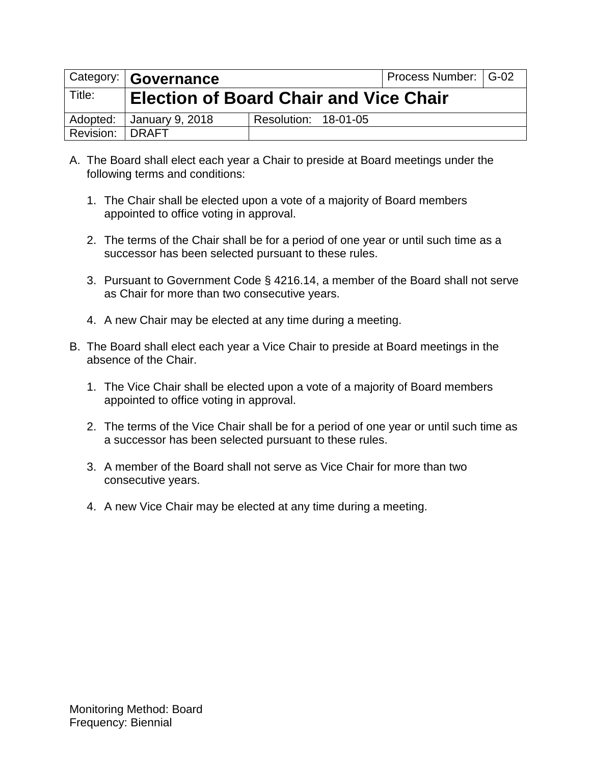|                 | Category:   Governance                        |                             | Process Number:   G-02 |  |  |  |  |
|-----------------|-----------------------------------------------|-----------------------------|------------------------|--|--|--|--|
| Title:          | <b>Election of Board Chair and Vice Chair</b> |                             |                        |  |  |  |  |
|                 | Adopted: January 9, 2018                      | <b>Resolution: 18-01-05</b> |                        |  |  |  |  |
| Revision: DRAFT |                                               |                             |                        |  |  |  |  |

- A. The Board shall elect each year a Chair to preside at Board meetings under the following terms and conditions:
	- 1. The Chair shall be elected upon a vote of a majority of Board members appointed to office voting in approval.
	- 2. The terms of the Chair shall be for a period of one year or until such time as a successor has been selected pursuant to these rules.
	- as Chair for more than two consecutive years. 3. Pursuant to Government Code § 4216.14, a member of the Board shall not serve
	- 4. A new Chair may be elected at any time during a meeting.
- B. The Board shall elect each year a Vice Chair to preside at Board meetings in the absence of the Chair.
	- 1. The Vice Chair shall be elected upon a vote of a majority of Board members appointed to office voting in approval.
	- 2. The terms of the Vice Chair shall be for a period of one year or until such time as a successor has been selected pursuant to these rules.
	- 3. A member of the Board shall not serve as Vice Chair for more than two consecutive years.
	- 4. A new Vice Chair may be elected at any time during a meeting.